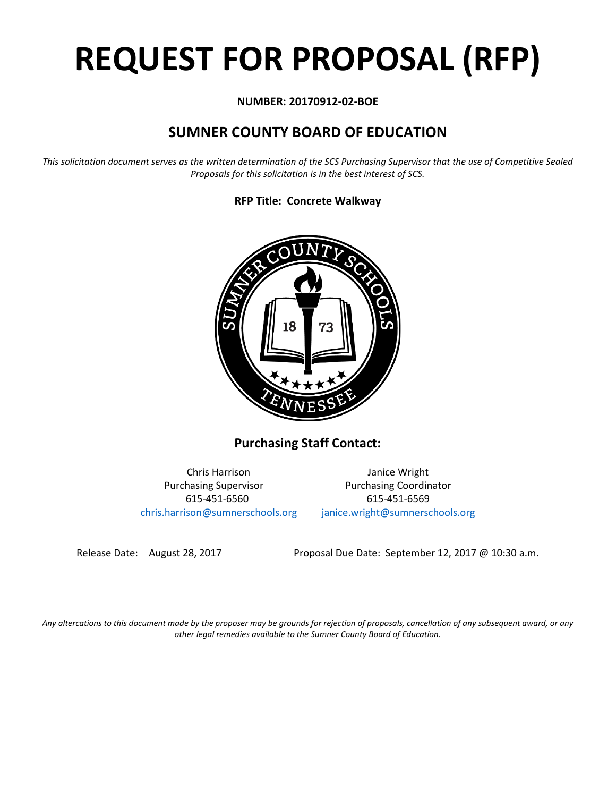# **REQUEST FOR PROPOSAL (RFP)**

#### **NUMBER: 20170912-02-BOE**

## **SUMNER COUNTY BOARD OF EDUCATION**

*This solicitation document serves as the written determination of the SCS Purchasing Supervisor that the use of Competitive Sealed Proposals for this solicitation is in the best interest of SCS.*

#### **RFP Title: Concrete Walkway**



**Purchasing Staff Contact:**

[chris.harrison@sumnerschools.org](mailto:chris.harrison@sumnerschools.org) [janice.wright@sumnerschools.org](mailto:janice.wright@sumnerschools.org)

Chris Harrison Janice Wright Purchasing Supervisor **Purchasing Coordinator** 615-451-6560 615-451-6569

Release Date: August 28, 2017 Proposal Due Date: September 12, 2017 @ 10:30 a.m.

*Any altercations to this document made by the proposer may be grounds for rejection of proposals, cancellation of any subsequent award, or any other legal remedies available to the Sumner County Board of Education.*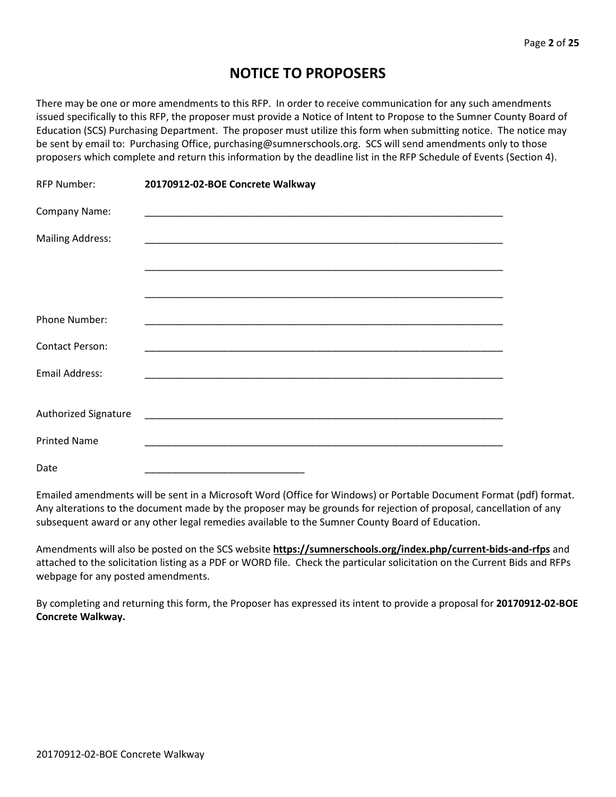## **NOTICE TO PROPOSERS**

There may be one or more amendments to this RFP. In order to receive communication for any such amendments issued specifically to this RFP, the proposer must provide a Notice of Intent to Propose to the Sumner County Board of Education (SCS) Purchasing Department. The proposer must utilize this form when submitting notice. The notice may be sent by email to: Purchasing Office, purchasing@sumnerschools.org. SCS will send amendments only to those proposers which complete and return this information by the deadline list in the RFP Schedule of Events (Section 4).

| <b>RFP Number:</b>      | 20170912-02-BOE Concrete Walkway                                                                                      |
|-------------------------|-----------------------------------------------------------------------------------------------------------------------|
| Company Name:           |                                                                                                                       |
| <b>Mailing Address:</b> |                                                                                                                       |
|                         |                                                                                                                       |
|                         |                                                                                                                       |
| <b>Phone Number:</b>    | <u> 1989 - Johann Stein, marwolaethau a bhann an t-Amhain ann an t-Amhain an t-Amhain an t-Amhain an t-Amhain an </u> |
| <b>Contact Person:</b>  | <u> 1980 - Johann John Stone, markin film yn y brenin y brenin y brenin y brenin y brenin y brenin y brenin y br</u>  |
| Email Address:          |                                                                                                                       |
|                         |                                                                                                                       |
| Authorized Signature    |                                                                                                                       |
| <b>Printed Name</b>     |                                                                                                                       |
| Date                    |                                                                                                                       |

Emailed amendments will be sent in a Microsoft Word (Office for Windows) or Portable Document Format (pdf) format. Any alterations to the document made by the proposer may be grounds for rejection of proposal, cancellation of any subsequent award or any other legal remedies available to the Sumner County Board of Education.

Amendments will also be posted on the SCS website **https://sumnerschools.org/index.php/current-bids-and-rfps** and attached to the solicitation listing as a PDF or WORD file. Check the particular solicitation on the Current Bids and RFPs webpage for any posted amendments.

By completing and returning this form, the Proposer has expressed its intent to provide a proposal for **20170912-02-BOE Concrete Walkway.**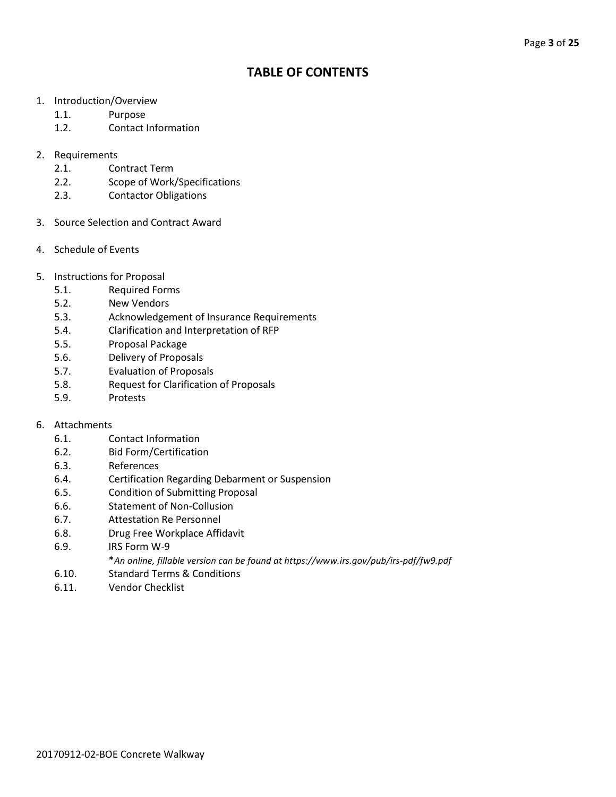### **TABLE OF CONTENTS**

- 1. Introduction/Overview
	- 1.1. Purpose
	- 1.2. Contact Information
- 2. Requirements
	- 2.1. Contract Term
	- 2.2. Scope of Work/Specifications
	- 2.3. Contactor Obligations
- 3. Source Selection and Contract Award
- 4. Schedule of Events
- 5. Instructions for Proposal
	- 5.1. Required Forms
	- 5.2. New Vendors
	- 5.3. Acknowledgement of Insurance Requirements
	- 5.4. Clarification and Interpretation of RFP
	- 5.5. Proposal Package
	- 5.6. Delivery of Proposals
	- 5.7. Evaluation of Proposals
	- 5.8. Request for Clarification of Proposals
	- 5.9. Protests

#### 6. Attachments

- 6.1. Contact Information
- 6.2. Bid Form/Certification
- 6.3. References
- 6.4. Certification Regarding Debarment or Suspension
- 6.5. Condition of Submitting Proposal
- 6.6. Statement of Non-Collusion
- 6.7. Attestation Re Personnel
- 6.8. Drug Free Workplace Affidavit
- 6.9. IRS Form W-9
	- \**An online, fillable version can be found at https://www.irs.gov/pub/irs-pdf/fw9.pdf*
- 6.10. Standard Terms & Conditions
- 6.11. Vendor Checklist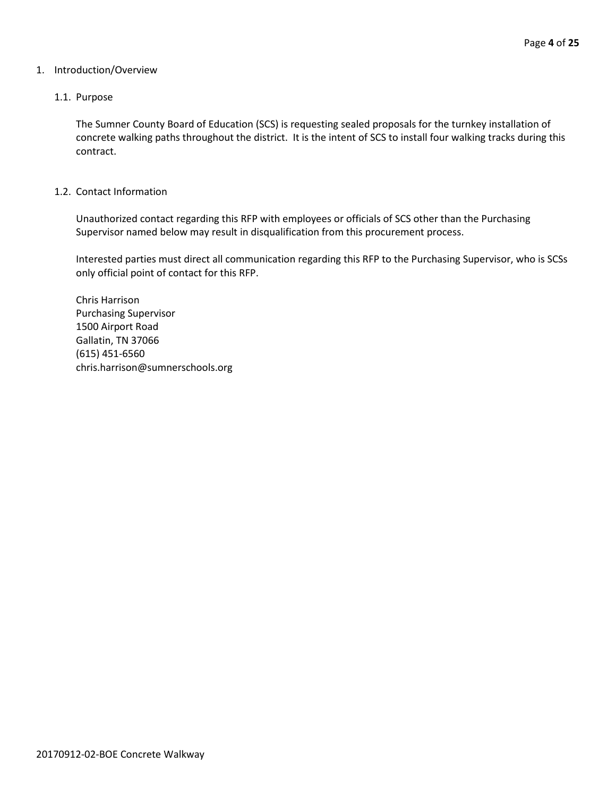#### 1. Introduction/Overview

#### 1.1. Purpose

The Sumner County Board of Education (SCS) is requesting sealed proposals for the turnkey installation of concrete walking paths throughout the district. It is the intent of SCS to install four walking tracks during this contract.

#### 1.2. Contact Information

Unauthorized contact regarding this RFP with employees or officials of SCS other than the Purchasing Supervisor named below may result in disqualification from this procurement process.

Interested parties must direct all communication regarding this RFP to the Purchasing Supervisor, who is SCSs only official point of contact for this RFP.

Chris Harrison Purchasing Supervisor 1500 Airport Road Gallatin, TN 37066 (615) 451-6560 chris.harrison@sumnerschools.org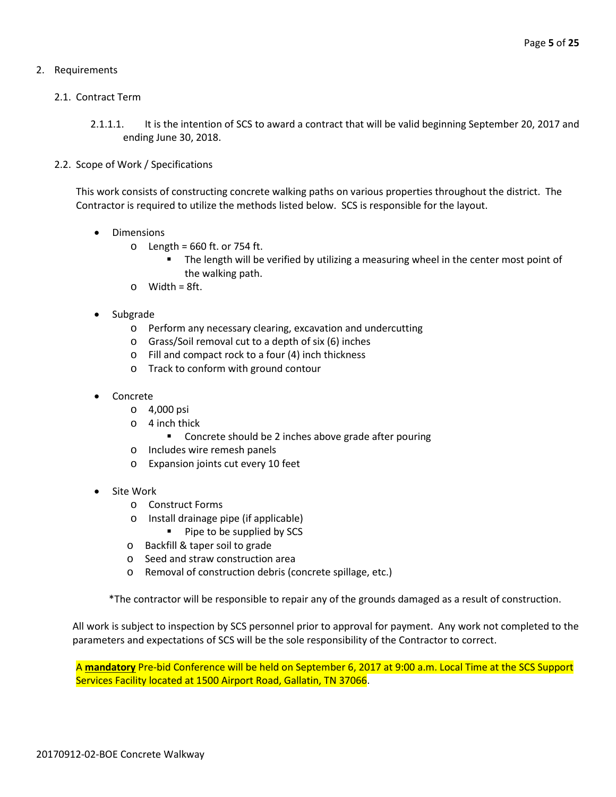#### 2. Requirements

#### 2.1. Contract Term

- 2.1.1.1. It is the intention of SCS to award a contract that will be valid beginning September 20, 2017 and ending June 30, 2018.
- 2.2. Scope of Work / Specifications

This work consists of constructing concrete walking paths on various properties throughout the district. The Contractor is required to utilize the methods listed below. SCS is responsible for the layout.

- Dimensions
	- $\circ$  Length = 660 ft. or 754 ft.
		- The length will be verified by utilizing a measuring wheel in the center most point of the walking path.
	- $\circ$  Width = 8ft.
- Subgrade
	- o Perform any necessary clearing, excavation and undercutting
	- o Grass/Soil removal cut to a depth of six (6) inches
	- o Fill and compact rock to a four (4) inch thickness
	- o Track to conform with ground contour
- Concrete
	- o 4,000 psi
	- o 4 inch thick
		- **EXECONCREE** should be 2 inches above grade after pouring
	- o Includes wire remesh panels
	- o Expansion joints cut every 10 feet
- Site Work
	- o Construct Forms
	- o Install drainage pipe (if applicable)
		- **Pipe to be supplied by SCS**
	- o Backfill & taper soil to grade
	- o Seed and straw construction area
	- o Removal of construction debris (concrete spillage, etc.)

\*The contractor will be responsible to repair any of the grounds damaged as a result of construction.

All work is subject to inspection by SCS personnel prior to approval for payment. Any work not completed to the parameters and expectations of SCS will be the sole responsibility of the Contractor to correct.

A **mandatory** Pre-bid Conference will be held on September 6, 2017 at 9:00 a.m. Local Time at the SCS Support Services Facility located at 1500 Airport Road, Gallatin, TN 37066.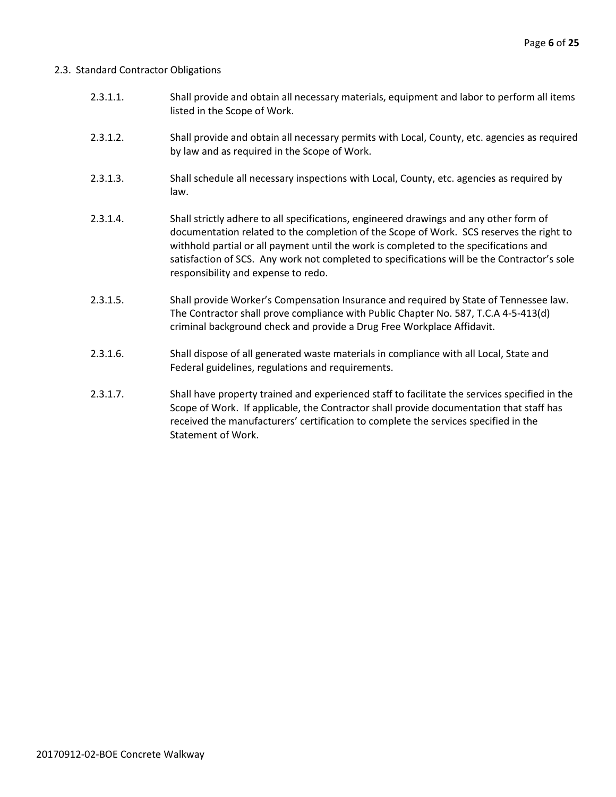#### 2.3. Standard Contractor Obligations

- 2.3.1.1. Shall provide and obtain all necessary materials, equipment and labor to perform all items listed in the Scope of Work.
- 2.3.1.2. Shall provide and obtain all necessary permits with Local, County, etc. agencies as required by law and as required in the Scope of Work.
- 2.3.1.3. Shall schedule all necessary inspections with Local, County, etc. agencies as required by law.
- 2.3.1.4. Shall strictly adhere to all specifications, engineered drawings and any other form of documentation related to the completion of the Scope of Work. SCS reserves the right to withhold partial or all payment until the work is completed to the specifications and satisfaction of SCS. Any work not completed to specifications will be the Contractor's sole responsibility and expense to redo.
- 2.3.1.5. Shall provide Worker's Compensation Insurance and required by State of Tennessee law. The Contractor shall prove compliance with Public Chapter No. 587, T.C.A 4-5-413(d) criminal background check and provide a Drug Free Workplace Affidavit.
- 2.3.1.6. Shall dispose of all generated waste materials in compliance with all Local, State and Federal guidelines, regulations and requirements.
- 2.3.1.7. Shall have property trained and experienced staff to facilitate the services specified in the Scope of Work. If applicable, the Contractor shall provide documentation that staff has received the manufacturers' certification to complete the services specified in the Statement of Work.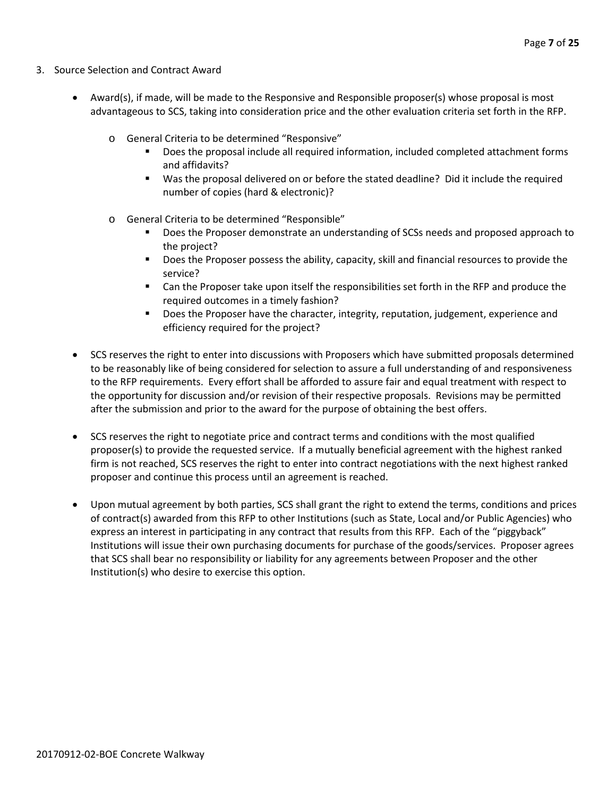- 3. Source Selection and Contract Award
	- Award(s), if made, will be made to the Responsive and Responsible proposer(s) whose proposal is most advantageous to SCS, taking into consideration price and the other evaluation criteria set forth in the RFP.
		- o General Criteria to be determined "Responsive"
			- Does the proposal include all required information, included completed attachment forms and affidavits?
			- Was the proposal delivered on or before the stated deadline? Did it include the required number of copies (hard & electronic)?
		- o General Criteria to be determined "Responsible"
			- Does the Proposer demonstrate an understanding of SCSs needs and proposed approach to the project?
			- **Does the Proposer possess the ability, capacity, skill and financial resources to provide the** service?
			- Can the Proposer take upon itself the responsibilities set forth in the RFP and produce the required outcomes in a timely fashion?
			- **Does the Proposer have the character, integrity, reputation, judgement, experience and** efficiency required for the project?
	- SCS reserves the right to enter into discussions with Proposers which have submitted proposals determined to be reasonably like of being considered for selection to assure a full understanding of and responsiveness to the RFP requirements. Every effort shall be afforded to assure fair and equal treatment with respect to the opportunity for discussion and/or revision of their respective proposals. Revisions may be permitted after the submission and prior to the award for the purpose of obtaining the best offers.
	- SCS reserves the right to negotiate price and contract terms and conditions with the most qualified proposer(s) to provide the requested service. If a mutually beneficial agreement with the highest ranked firm is not reached, SCS reserves the right to enter into contract negotiations with the next highest ranked proposer and continue this process until an agreement is reached.
	- Upon mutual agreement by both parties, SCS shall grant the right to extend the terms, conditions and prices of contract(s) awarded from this RFP to other Institutions (such as State, Local and/or Public Agencies) who express an interest in participating in any contract that results from this RFP. Each of the "piggyback" Institutions will issue their own purchasing documents for purchase of the goods/services. Proposer agrees that SCS shall bear no responsibility or liability for any agreements between Proposer and the other Institution(s) who desire to exercise this option.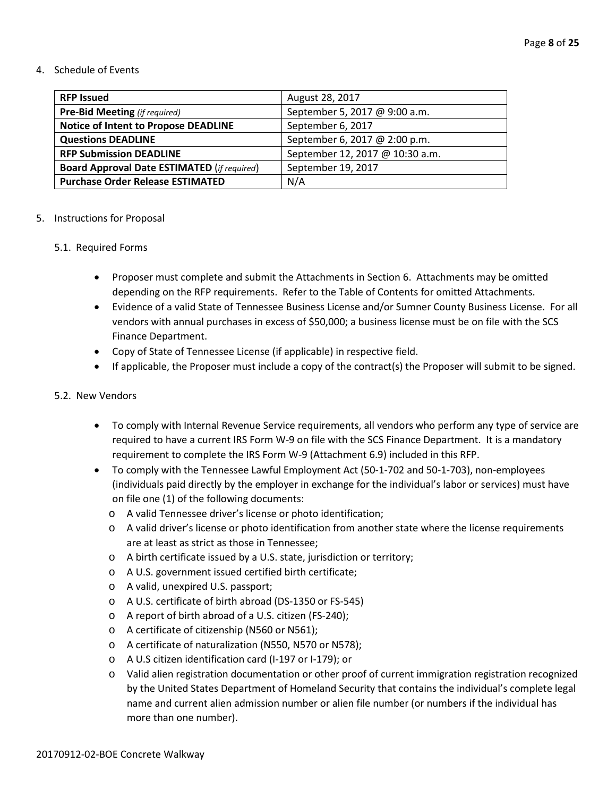#### 4. Schedule of Events

| <b>RFP Issued</b>                                  | August 28, 2017                 |
|----------------------------------------------------|---------------------------------|
| <b>Pre-Bid Meeting</b> (if required)               | September 5, 2017 @ 9:00 a.m.   |
| <b>Notice of Intent to Propose DEADLINE</b>        | September 6, 2017               |
| <b>Questions DEADLINE</b>                          | September 6, 2017 @ 2:00 p.m.   |
| <b>RFP Submission DEADLINE</b>                     | September 12, 2017 @ 10:30 a.m. |
| <b>Board Approval Date ESTIMATED (if required)</b> | September 19, 2017              |
| <b>Purchase Order Release ESTIMATED</b>            | N/A                             |

#### 5. Instructions for Proposal

#### 5.1. Required Forms

- Proposer must complete and submit the Attachments in Section 6. Attachments may be omitted depending on the RFP requirements. Refer to the Table of Contents for omitted Attachments.
- Evidence of a valid State of Tennessee Business License and/or Sumner County Business License. For all vendors with annual purchases in excess of \$50,000; a business license must be on file with the SCS Finance Department.
- Copy of State of Tennessee License (if applicable) in respective field.
- If applicable, the Proposer must include a copy of the contract(s) the Proposer will submit to be signed.

#### 5.2. New Vendors

- To comply with Internal Revenue Service requirements, all vendors who perform any type of service are required to have a current IRS Form W-9 on file with the SCS Finance Department. It is a mandatory requirement to complete the IRS Form W-9 (Attachment 6.9) included in this RFP.
- To comply with the Tennessee Lawful Employment Act (50-1-702 and 50-1-703), non-employees (individuals paid directly by the employer in exchange for the individual's labor or services) must have on file one (1) of the following documents:
	- o A valid Tennessee driver's license or photo identification;
	- o A valid driver's license or photo identification from another state where the license requirements are at least as strict as those in Tennessee;
	- o A birth certificate issued by a U.S. state, jurisdiction or territory;
	- o A U.S. government issued certified birth certificate;
	- o A valid, unexpired U.S. passport;
	- o A U.S. certificate of birth abroad (DS-1350 or FS-545)
	- o A report of birth abroad of a U.S. citizen (FS-240);
	- o A certificate of citizenship (N560 or N561);
	- o A certificate of naturalization (N550, N570 or N578);
	- o A U.S citizen identification card (I-197 or I-179); or
	- o Valid alien registration documentation or other proof of current immigration registration recognized by the United States Department of Homeland Security that contains the individual's complete legal name and current alien admission number or alien file number (or numbers if the individual has more than one number).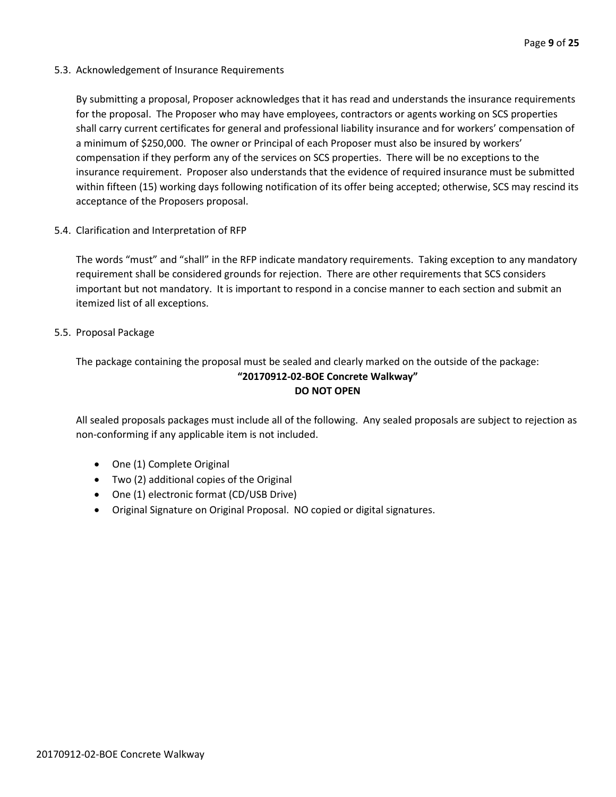5.3. Acknowledgement of Insurance Requirements

By submitting a proposal, Proposer acknowledges that it has read and understands the insurance requirements for the proposal. The Proposer who may have employees, contractors or agents working on SCS properties shall carry current certificates for general and professional liability insurance and for workers' compensation of a minimum of \$250,000. The owner or Principal of each Proposer must also be insured by workers' compensation if they perform any of the services on SCS properties. There will be no exceptions to the insurance requirement. Proposer also understands that the evidence of required insurance must be submitted within fifteen (15) working days following notification of its offer being accepted; otherwise, SCS may rescind its acceptance of the Proposers proposal.

5.4. Clarification and Interpretation of RFP

The words "must" and "shall" in the RFP indicate mandatory requirements. Taking exception to any mandatory requirement shall be considered grounds for rejection. There are other requirements that SCS considers important but not mandatory. It is important to respond in a concise manner to each section and submit an itemized list of all exceptions.

#### 5.5. Proposal Package

The package containing the proposal must be sealed and clearly marked on the outside of the package: **"20170912-02-BOE Concrete Walkway" DO NOT OPEN**

All sealed proposals packages must include all of the following. Any sealed proposals are subject to rejection as non-conforming if any applicable item is not included.

- One (1) Complete Original
- Two (2) additional copies of the Original
- One (1) electronic format (CD/USB Drive)
- Original Signature on Original Proposal. NO copied or digital signatures.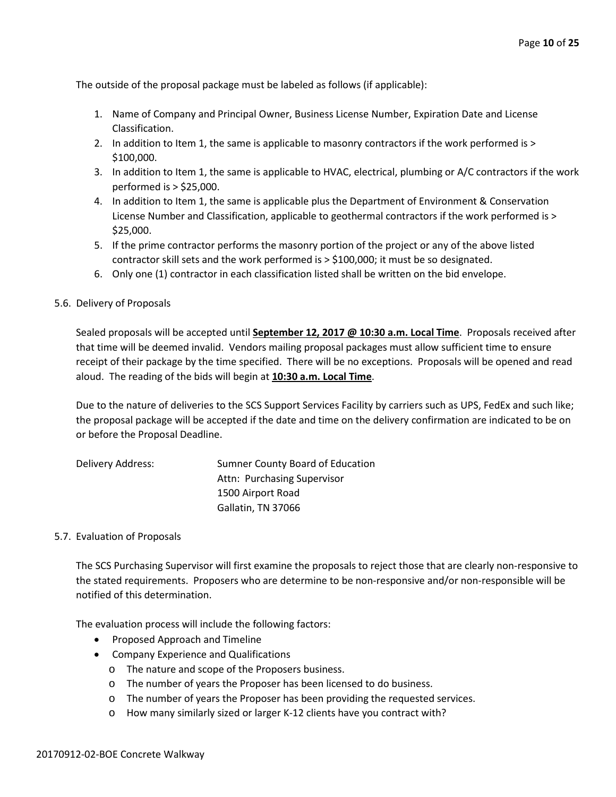The outside of the proposal package must be labeled as follows (if applicable):

- 1. Name of Company and Principal Owner, Business License Number, Expiration Date and License Classification.
- 2. In addition to Item 1, the same is applicable to masonry contractors if the work performed is > \$100,000.
- 3. In addition to Item 1, the same is applicable to HVAC, electrical, plumbing or A/C contractors if the work performed is > \$25,000.
- 4. In addition to Item 1, the same is applicable plus the Department of Environment & Conservation License Number and Classification, applicable to geothermal contractors if the work performed is > \$25,000.
- 5. If the prime contractor performs the masonry portion of the project or any of the above listed contractor skill sets and the work performed is > \$100,000; it must be so designated.
- 6. Only one (1) contractor in each classification listed shall be written on the bid envelope.

#### 5.6. Delivery of Proposals

Sealed proposals will be accepted until **September 12, 2017 @ 10:30 a.m. Local Time**. Proposals received after that time will be deemed invalid. Vendors mailing proposal packages must allow sufficient time to ensure receipt of their package by the time specified. There will be no exceptions. Proposals will be opened and read aloud. The reading of the bids will begin at **10:30 a.m. Local Time**.

Due to the nature of deliveries to the SCS Support Services Facility by carriers such as UPS, FedEx and such like; the proposal package will be accepted if the date and time on the delivery confirmation are indicated to be on or before the Proposal Deadline.

| Delivery Address: | Sumner County Board of Education |
|-------------------|----------------------------------|
|                   | Attn: Purchasing Supervisor      |
|                   | 1500 Airport Road                |
|                   | Gallatin, TN 37066               |

#### 5.7. Evaluation of Proposals

The SCS Purchasing Supervisor will first examine the proposals to reject those that are clearly non-responsive to the stated requirements. Proposers who are determine to be non-responsive and/or non-responsible will be notified of this determination.

The evaluation process will include the following factors:

- Proposed Approach and Timeline
- Company Experience and Qualifications
	- o The nature and scope of the Proposers business.
	- o The number of years the Proposer has been licensed to do business.
	- o The number of years the Proposer has been providing the requested services.
	- o How many similarly sized or larger K-12 clients have you contract with?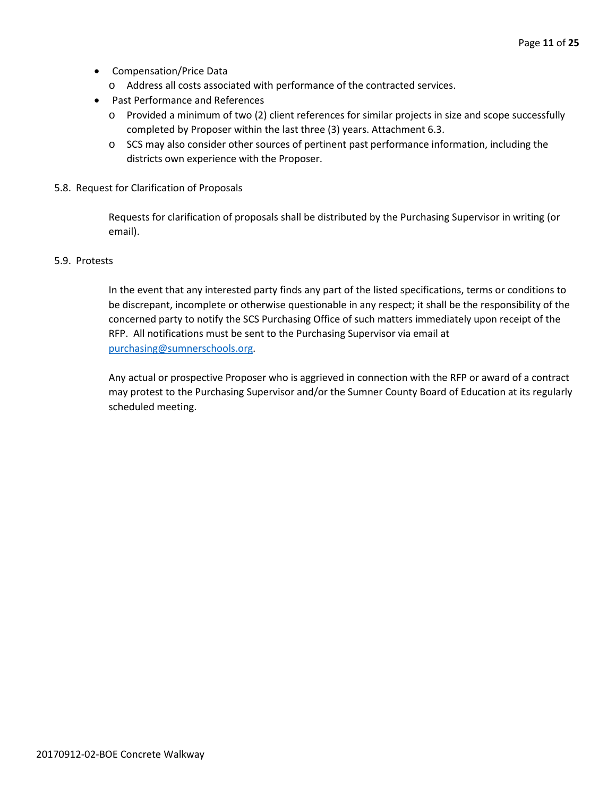- Compensation/Price Data
	- o Address all costs associated with performance of the contracted services.
- Past Performance and References
	- o Provided a minimum of two (2) client references for similar projects in size and scope successfully completed by Proposer within the last three (3) years. Attachment 6.3.
	- o SCS may also consider other sources of pertinent past performance information, including the districts own experience with the Proposer.
- 5.8. Request for Clarification of Proposals

Requests for clarification of proposals shall be distributed by the Purchasing Supervisor in writing (or email).

#### 5.9. Protests

In the event that any interested party finds any part of the listed specifications, terms or conditions to be discrepant, incomplete or otherwise questionable in any respect; it shall be the responsibility of the concerned party to notify the SCS Purchasing Office of such matters immediately upon receipt of the RFP. All notifications must be sent to the Purchasing Supervisor via email at [purchasing@sumnerschools.org.](mailto:purchasing@sumnerschools.org)

Any actual or prospective Proposer who is aggrieved in connection with the RFP or award of a contract may protest to the Purchasing Supervisor and/or the Sumner County Board of Education at its regularly scheduled meeting.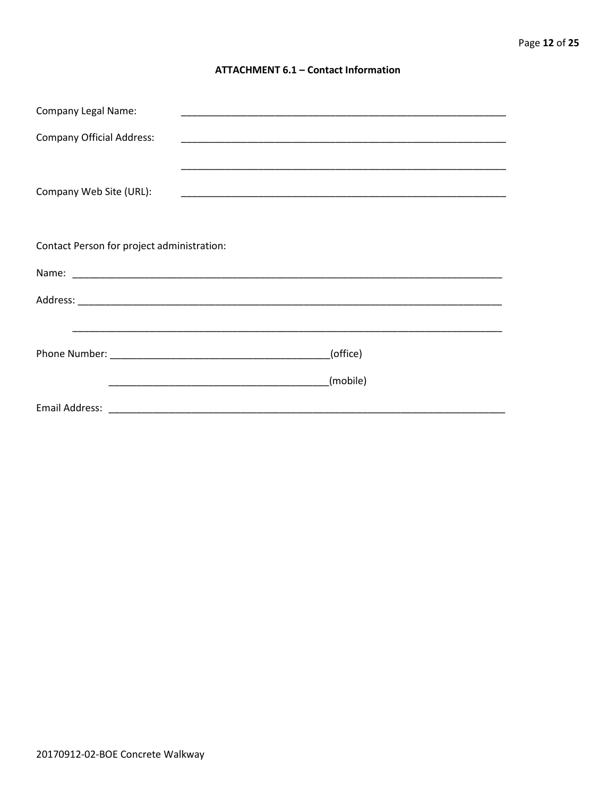#### **ATTACHMENT 6.1 - Contact Information**

| <b>Company Legal Name:</b>                 |          |
|--------------------------------------------|----------|
| <b>Company Official Address:</b>           |          |
|                                            |          |
| Company Web Site (URL):                    |          |
|                                            |          |
| Contact Person for project administration: |          |
|                                            |          |
|                                            |          |
|                                            |          |
|                                            | (office) |
|                                            | (mobile) |
|                                            |          |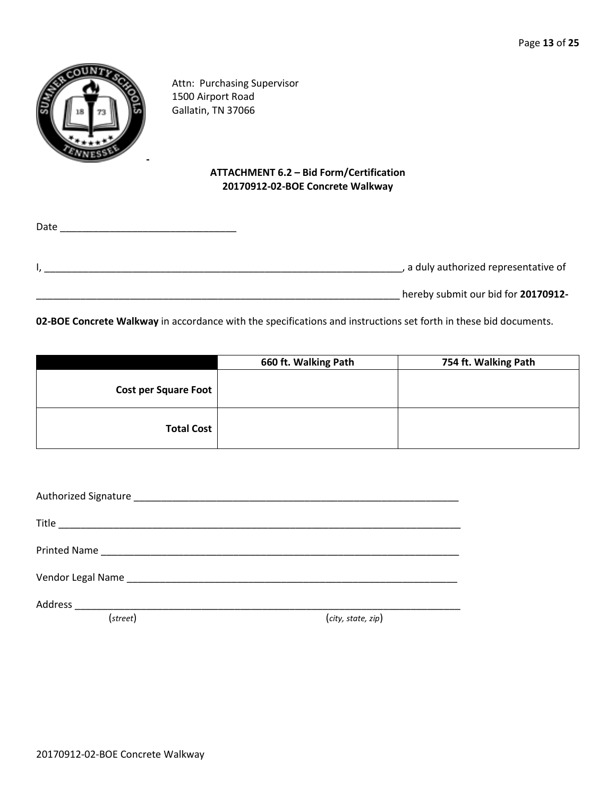

Attn: Purchasing Supervisor 1500 Airport Road Gallatin, TN 37066

#### **ATTACHMENT 6.2 – Bid Form/Certification 20170912-02-BOE Concrete Walkway**

| Date |                                     |
|------|-------------------------------------|
|      |                                     |
|      | a duly authorized representative of |
|      | hereby submit our bid for 20170912- |

**02-BOE Concrete Walkway** in accordance with the specifications and instructions set forth in these bid documents.

|                      | 660 ft. Walking Path | 754 ft. Walking Path |
|----------------------|----------------------|----------------------|
| Cost per Square Foot |                      |                      |
| <b>Total Cost</b>    |                      |                      |

| (street) | (city, state, zip) |
|----------|--------------------|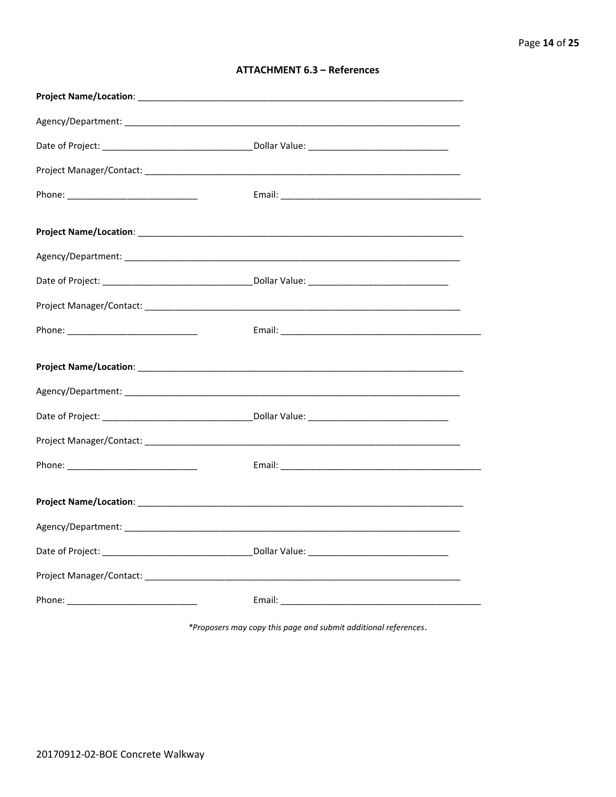| <b>ATTACHMENT 6.3 - References</b> |  |  |
|------------------------------------|--|--|
|------------------------------------|--|--|

\*Proposers may copy this page and submit additional references.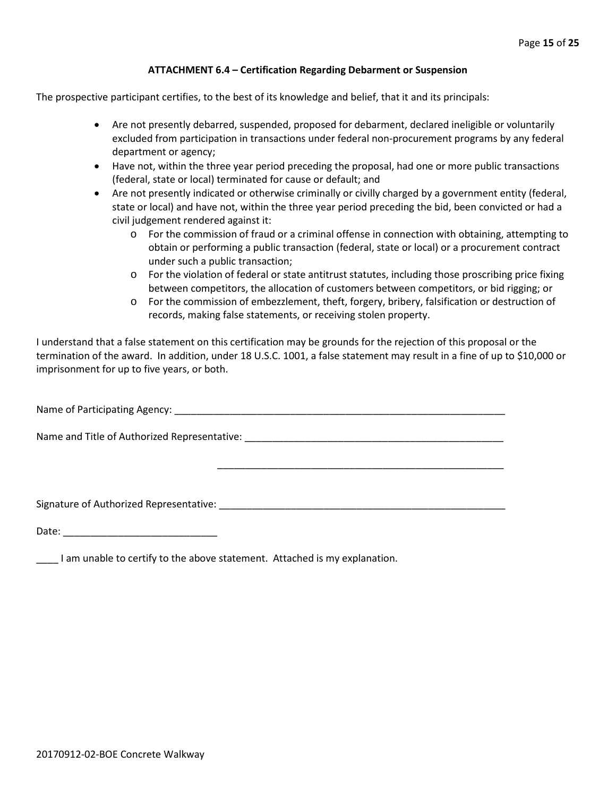#### **ATTACHMENT 6.4 – Certification Regarding Debarment or Suspension**

The prospective participant certifies, to the best of its knowledge and belief, that it and its principals:

- Are not presently debarred, suspended, proposed for debarment, declared ineligible or voluntarily excluded from participation in transactions under federal non-procurement programs by any federal department or agency;
- Have not, within the three year period preceding the proposal, had one or more public transactions (federal, state or local) terminated for cause or default; and
- Are not presently indicated or otherwise criminally or civilly charged by a government entity (federal, state or local) and have not, within the three year period preceding the bid, been convicted or had a civil judgement rendered against it:
	- o For the commission of fraud or a criminal offense in connection with obtaining, attempting to obtain or performing a public transaction (federal, state or local) or a procurement contract under such a public transaction;
	- o For the violation of federal or state antitrust statutes, including those proscribing price fixing between competitors, the allocation of customers between competitors, or bid rigging; or
	- o For the commission of embezzlement, theft, forgery, bribery, falsification or destruction of records, making false statements, or receiving stolen property.

\_\_\_\_\_\_\_\_\_\_\_\_\_\_\_\_\_\_\_\_\_\_\_\_\_\_\_\_\_\_\_\_\_\_\_\_\_\_\_\_\_\_\_\_\_\_\_\_\_\_\_\_

I understand that a false statement on this certification may be grounds for the rejection of this proposal or the termination of the award. In addition, under 18 U.S.C. 1001, a false statement may result in a fine of up to \$10,000 or imprisonment for up to five years, or both.

Name of Participating Agency: \_\_\_\_\_\_\_\_\_\_\_\_\_\_\_\_\_\_\_\_\_\_\_\_\_\_\_\_\_\_\_\_\_\_\_\_\_\_\_\_\_\_\_\_\_\_\_\_\_\_\_\_\_\_\_\_\_\_\_\_

Name and Title of Authorized Representative: \_\_\_\_\_\_\_\_\_\_\_\_\_\_\_\_\_\_\_\_\_\_\_\_\_\_\_\_\_\_\_\_\_\_\_\_\_\_\_\_\_\_\_\_\_\_\_

Signature of Authorized Representative: \_\_\_\_\_\_\_\_\_\_\_\_\_\_\_\_\_\_\_\_\_\_\_\_\_\_\_\_\_\_\_\_\_\_\_\_\_\_\_\_\_\_\_\_\_\_\_\_\_\_\_\_

Date: \_\_\_\_\_\_\_\_\_\_\_\_\_\_\_\_\_\_\_\_\_\_\_\_\_\_\_\_

\_\_\_\_ I am unable to certify to the above statement. Attached is my explanation.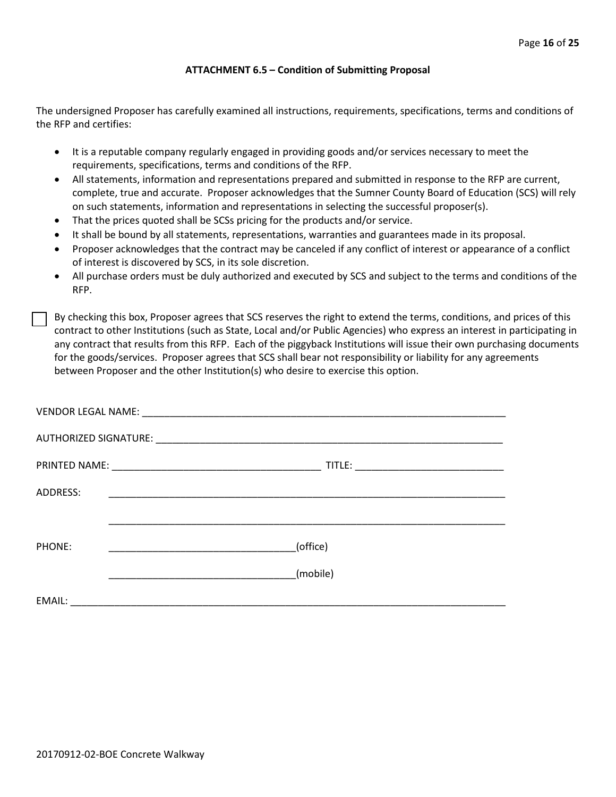#### **ATTACHMENT 6.5 – Condition of Submitting Proposal**

The undersigned Proposer has carefully examined all instructions, requirements, specifications, terms and conditions of the RFP and certifies:

- It is a reputable company regularly engaged in providing goods and/or services necessary to meet the requirements, specifications, terms and conditions of the RFP.
- All statements, information and representations prepared and submitted in response to the RFP are current, complete, true and accurate. Proposer acknowledges that the Sumner County Board of Education (SCS) will rely on such statements, information and representations in selecting the successful proposer(s).
- That the prices quoted shall be SCSs pricing for the products and/or service.
- It shall be bound by all statements, representations, warranties and guarantees made in its proposal.
- Proposer acknowledges that the contract may be canceled if any conflict of interest or appearance of a conflict of interest is discovered by SCS, in its sole discretion.
- All purchase orders must be duly authorized and executed by SCS and subject to the terms and conditions of the RFP.

By checking this box, Proposer agrees that SCS reserves the right to extend the terms, conditions, and prices of this contract to other Institutions (such as State, Local and/or Public Agencies) who express an interest in participating in any contract that results from this RFP. Each of the piggyback Institutions will issue their own purchasing documents for the goods/services. Proposer agrees that SCS shall bear not responsibility or liability for any agreements between Proposer and the other Institution(s) who desire to exercise this option.

| ADDRESS: |          |
|----------|----------|
|          |          |
| PHONE:   | (office) |
|          | (mobile) |
| EMAIL:   |          |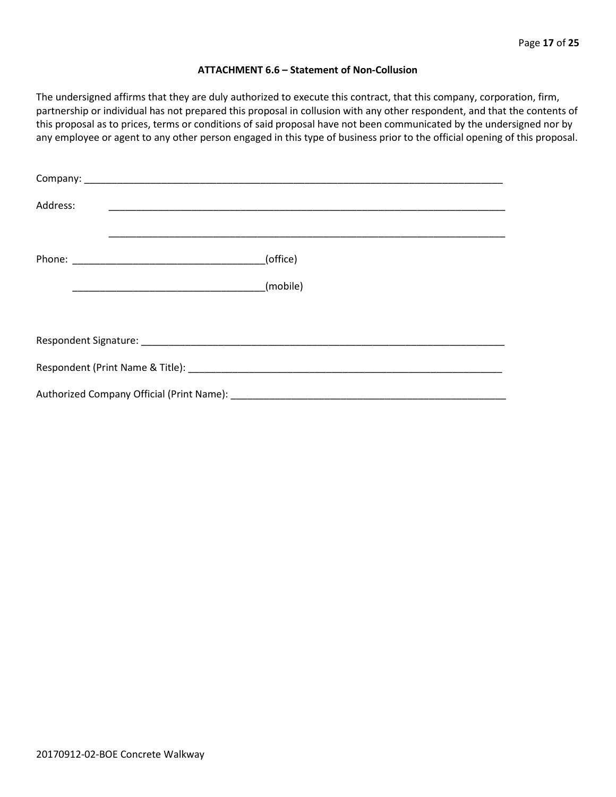#### **ATTACHMENT 6.6 – Statement of Non-Collusion**

The undersigned affirms that they are duly authorized to execute this contract, that this company, corporation, firm, partnership or individual has not prepared this proposal in collusion with any other respondent, and that the contents of this proposal as to prices, terms or conditions of said proposal have not been communicated by the undersigned nor by any employee or agent to any other person engaged in this type of business prior to the official opening of this proposal.

| Address: |          |  |
|----------|----------|--|
|          | (office) |  |
|          | (mobile) |  |
|          |          |  |
|          |          |  |
|          |          |  |
|          |          |  |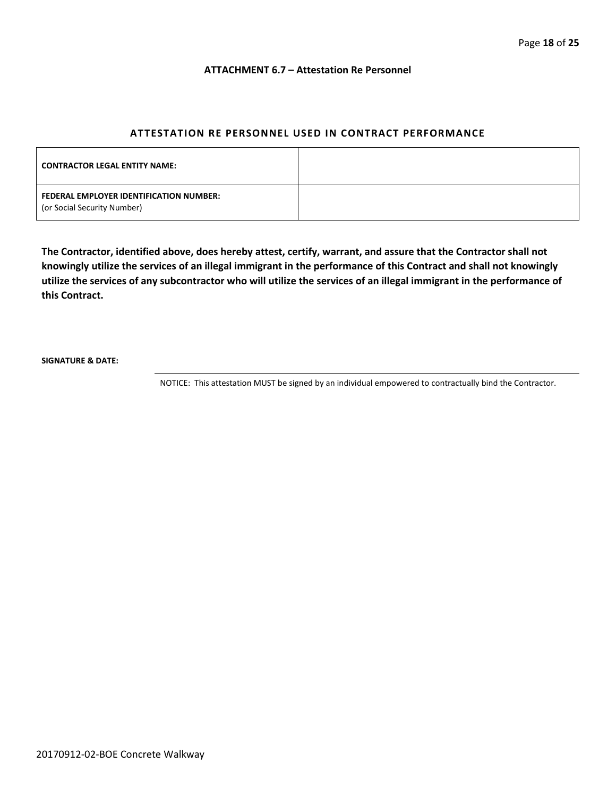#### **ATTACHMENT 6.7 – Attestation Re Personnel**

#### **ATTESTATION RE PERSONNEL USED IN CONTRACT PERFORMANCE**

| <b>CONTRACTOR LEGAL ENTITY NAME:</b>                                   |  |
|------------------------------------------------------------------------|--|
| FEDERAL EMPLOYER IDENTIFICATION NUMBER:<br>(or Social Security Number) |  |

**The Contractor, identified above, does hereby attest, certify, warrant, and assure that the Contractor shall not knowingly utilize the services of an illegal immigrant in the performance of this Contract and shall not knowingly utilize the services of any subcontractor who will utilize the services of an illegal immigrant in the performance of this Contract.**

**SIGNATURE & DATE:**

NOTICE: This attestation MUST be signed by an individual empowered to contractually bind the Contractor.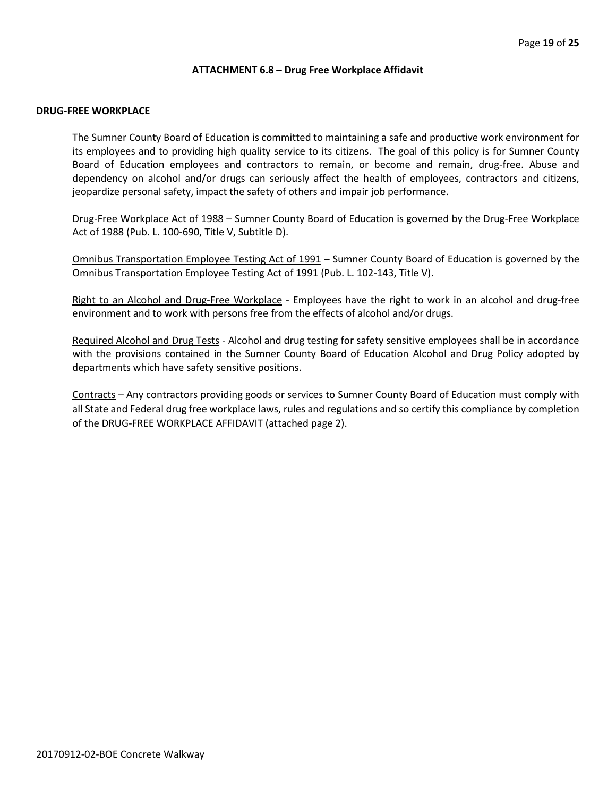#### **ATTACHMENT 6.8 – Drug Free Workplace Affidavit**

#### **DRUG-FREE WORKPLACE**

The Sumner County Board of Education is committed to maintaining a safe and productive work environment for its employees and to providing high quality service to its citizens. The goal of this policy is for Sumner County Board of Education employees and contractors to remain, or become and remain, drug-free. Abuse and dependency on alcohol and/or drugs can seriously affect the health of employees, contractors and citizens, jeopardize personal safety, impact the safety of others and impair job performance.

Drug-Free Workplace Act of 1988 – Sumner County Board of Education is governed by the Drug-Free Workplace Act of 1988 (Pub. L. 100-690, Title V, Subtitle D).

Omnibus Transportation Employee Testing Act of 1991 – Sumner County Board of Education is governed by the Omnibus Transportation Employee Testing Act of 1991 (Pub. L. 102-143, Title V).

Right to an Alcohol and Drug-Free Workplace - Employees have the right to work in an alcohol and drug-free environment and to work with persons free from the effects of alcohol and/or drugs.

Required Alcohol and Drug Tests - Alcohol and drug testing for safety sensitive employees shall be in accordance with the provisions contained in the Sumner County Board of Education Alcohol and Drug Policy adopted by departments which have safety sensitive positions.

Contracts – Any contractors providing goods or services to Sumner County Board of Education must comply with all State and Federal drug free workplace laws, rules and regulations and so certify this compliance by completion of the DRUG-FREE WORKPLACE AFFIDAVIT (attached page 2).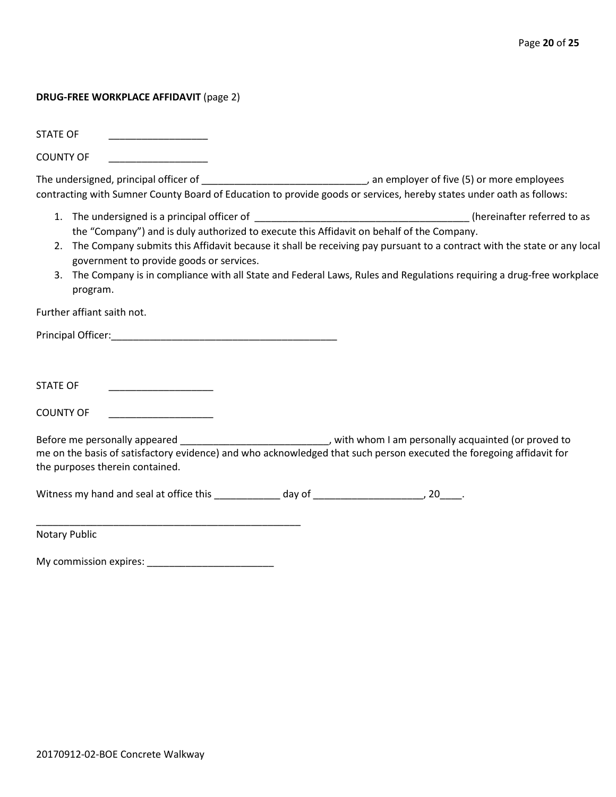#### **DRUG-FREE WORKPLACE AFFIDAVIT** (page 2)

STATE OF

COUNTY OF \_\_\_\_\_\_\_\_\_\_\_\_\_\_\_\_\_\_

The undersigned, principal officer of \_\_\_\_\_\_\_\_\_\_\_\_\_\_\_\_\_\_\_\_\_\_\_\_\_\_\_\_\_\_\_\_\_\_, an employer of five (5) or more employees contracting with Sumner County Board of Education to provide goods or services, hereby states under oath as follows:

- 1. The undersigned is a principal officer of the state of the state of the state of the state of the state of to as the "Company") and is duly authorized to execute this Affidavit on behalf of the Company.
- 2. The Company submits this Affidavit because it shall be receiving pay pursuant to a contract with the state or any local government to provide goods or services.
- 3. The Company is in compliance with all State and Federal Laws, Rules and Regulations requiring a drug-free workplace program.

Further affiant saith not.

Principal Officer:\_\_\_\_\_\_\_\_\_\_\_\_\_\_\_\_\_\_\_\_\_\_\_\_\_\_\_\_\_\_\_\_\_\_\_\_\_\_\_\_\_

STATE OF \_\_\_\_\_\_\_\_\_\_\_\_\_\_\_\_\_\_\_

COUNTY OF

Before me personally appeared \_\_\_\_\_\_\_\_\_\_\_\_\_\_\_\_\_\_\_\_\_\_\_\_\_\_\_\_\_\_, with whom I am personally acquainted (or proved to me on the basis of satisfactory evidence) and who acknowledged that such person executed the foregoing affidavit for the purposes therein contained.

Witness my hand and seal at office this \_\_\_\_\_\_\_\_\_\_\_\_\_ day of \_\_\_\_\_\_\_\_\_\_\_\_\_\_\_\_\_\_\_\_\_, 20\_\_\_\_\_.

Notary Public

My commission expires: \_\_\_\_\_\_\_\_\_\_\_\_\_\_\_\_\_\_\_\_\_\_\_

\_\_\_\_\_\_\_\_\_\_\_\_\_\_\_\_\_\_\_\_\_\_\_\_\_\_\_\_\_\_\_\_\_\_\_\_\_\_\_\_\_\_\_\_\_\_\_\_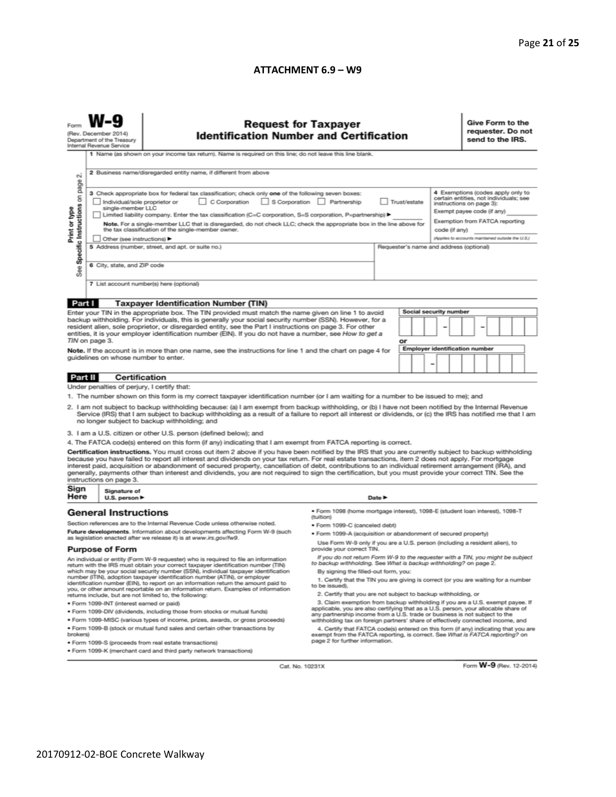#### **ATTACHMENT 6.9 – W9**

| (Rev. December 2014)<br>Department of the Treasury<br>Internal Revenue Service                                                                                                                                                                                                                                                                                                                                                                                                                                                                                                                                                                           |                                                                                                                                                                                                                                                                                                                                                                                                                                                                                                                                                                                                            | <b>Request for Taxpayer</b><br><b>Identification Number and Certification</b><br>1 Name (as shown on your income tax return). Name is required on this line; do not leave this line blank. |                                                                                                                                                                                                                                                        |  |                               |  |  |                                                                                                                                                                         | Give Form to the<br>requester. Do not<br>send to the IRS. |  |  |  |  |  |
|----------------------------------------------------------------------------------------------------------------------------------------------------------------------------------------------------------------------------------------------------------------------------------------------------------------------------------------------------------------------------------------------------------------------------------------------------------------------------------------------------------------------------------------------------------------------------------------------------------------------------------------------------------|------------------------------------------------------------------------------------------------------------------------------------------------------------------------------------------------------------------------------------------------------------------------------------------------------------------------------------------------------------------------------------------------------------------------------------------------------------------------------------------------------------------------------------------------------------------------------------------------------------|--------------------------------------------------------------------------------------------------------------------------------------------------------------------------------------------|--------------------------------------------------------------------------------------------------------------------------------------------------------------------------------------------------------------------------------------------------------|--|-------------------------------|--|--|-------------------------------------------------------------------------------------------------------------------------------------------------------------------------|-----------------------------------------------------------|--|--|--|--|--|
| $\sim$<br>Specific Instructions on page<br>Print or type                                                                                                                                                                                                                                                                                                                                                                                                                                                                                                                                                                                                 | 2 Business name/disregarded entity name, if different from above<br>3 Check appropriate box for federal tax classification; check only one of the following seven boxes:<br>C Corporation<br>S Corporation Partnership<br>Trust/estate<br>Individual/sole proprietor or<br>single-member LLC<br>Limited liability company. Enter the tax classification (C=C corporation, S=S corporation, P=partnership) ▶<br>Note. For a single-member LLC that is disregarded, do not check LLC; check the appropriate box in the line above for<br>the tax classification of the single-member owner.<br>code (if any) |                                                                                                                                                                                            |                                                                                                                                                                                                                                                        |  |                               |  |  | 4 Exemptions (codes apply only to<br>certain entities, not individuals; see<br>instructions on page 3):<br>Exempt payee code (if any)<br>Exemption from FATCA reporting |                                                           |  |  |  |  |  |
| See                                                                                                                                                                                                                                                                                                                                                                                                                                                                                                                                                                                                                                                      | Other (see instructions) ▶<br>5 Address (number, street, and apt. or suite no.)<br>Requester's name and address (optional)<br>6 City, state, and ZIP code<br>7 List account number(s) here (optional)                                                                                                                                                                                                                                                                                                                                                                                                      |                                                                                                                                                                                            |                                                                                                                                                                                                                                                        |  |                               |  |  |                                                                                                                                                                         | (Applies to accounts maintained outside the U.S.)         |  |  |  |  |  |
| Part I                                                                                                                                                                                                                                                                                                                                                                                                                                                                                                                                                                                                                                                   |                                                                                                                                                                                                                                                                                                                                                                                                                                                                                                                                                                                                            | <b>Taxpayer Identification Number (TIN)</b>                                                                                                                                                |                                                                                                                                                                                                                                                        |  |                               |  |  |                                                                                                                                                                         |                                                           |  |  |  |  |  |
|                                                                                                                                                                                                                                                                                                                                                                                                                                                                                                                                                                                                                                                          |                                                                                                                                                                                                                                                                                                                                                                                                                                                                                                                                                                                                            | Enter your TIN in the appropriate box. The TIN provided must match the name given on line 1 to avoid                                                                                       |                                                                                                                                                                                                                                                        |  | <b>Social security number</b> |  |  |                                                                                                                                                                         |                                                           |  |  |  |  |  |
| backup withholding. For individuals, this is generally your social security number (SSN). However, for a<br>resident alien, sole proprietor, or disregarded entity, see the Part I instructions on page 3. For other<br>entities, it is your employer identification number (EIN). If you do not have a number, see How to get a<br>TIN on page 3.<br>Note. If the account is in more than one name, see the instructions for line 1 and the chart on page 4 for                                                                                                                                                                                         |                                                                                                                                                                                                                                                                                                                                                                                                                                                                                                                                                                                                            |                                                                                                                                                                                            | or<br><b>Employer identification number</b>                                                                                                                                                                                                            |  |                               |  |  |                                                                                                                                                                         |                                                           |  |  |  |  |  |
|                                                                                                                                                                                                                                                                                                                                                                                                                                                                                                                                                                                                                                                          | guidelines on whose number to enter.                                                                                                                                                                                                                                                                                                                                                                                                                                                                                                                                                                       |                                                                                                                                                                                            | -                                                                                                                                                                                                                                                      |  |                               |  |  |                                                                                                                                                                         |                                                           |  |  |  |  |  |
| Part II                                                                                                                                                                                                                                                                                                                                                                                                                                                                                                                                                                                                                                                  | Certification                                                                                                                                                                                                                                                                                                                                                                                                                                                                                                                                                                                              |                                                                                                                                                                                            |                                                                                                                                                                                                                                                        |  |                               |  |  |                                                                                                                                                                         |                                                           |  |  |  |  |  |
| Under penalties of perjury, I certify that:                                                                                                                                                                                                                                                                                                                                                                                                                                                                                                                                                                                                              |                                                                                                                                                                                                                                                                                                                                                                                                                                                                                                                                                                                                            |                                                                                                                                                                                            |                                                                                                                                                                                                                                                        |  |                               |  |  |                                                                                                                                                                         |                                                           |  |  |  |  |  |
| 1. The number shown on this form is my correct taxpayer identification number (or I am waiting for a number to be issued to me); and<br>2. I am not subject to backup withholding because: (a) I am exempt from backup withholding, or (b) I have not been notified by the Internal Revenue<br>Service (IRS) that I am subject to backup withholding as a result of a failure to report all interest or dividends, or (c) the IRS has notified me that I am<br>no longer subject to backup withholding; and                                                                                                                                              |                                                                                                                                                                                                                                                                                                                                                                                                                                                                                                                                                                                                            |                                                                                                                                                                                            |                                                                                                                                                                                                                                                        |  |                               |  |  |                                                                                                                                                                         |                                                           |  |  |  |  |  |
| 3. I am a U.S. citizen or other U.S. person (defined below); and                                                                                                                                                                                                                                                                                                                                                                                                                                                                                                                                                                                         |                                                                                                                                                                                                                                                                                                                                                                                                                                                                                                                                                                                                            |                                                                                                                                                                                            |                                                                                                                                                                                                                                                        |  |                               |  |  |                                                                                                                                                                         |                                                           |  |  |  |  |  |
| 4. The FATCA code(s) entered on this form (if any) indicating that I am exempt from FATCA reporting is correct.                                                                                                                                                                                                                                                                                                                                                                                                                                                                                                                                          |                                                                                                                                                                                                                                                                                                                                                                                                                                                                                                                                                                                                            |                                                                                                                                                                                            |                                                                                                                                                                                                                                                        |  |                               |  |  |                                                                                                                                                                         |                                                           |  |  |  |  |  |
| Certification instructions. You must cross out item 2 above if you have been notified by the IRS that you are currently subject to backup withholding<br>because you have failed to report all interest and dividends on your tax return. For real estate transactions, item 2 does not apply. For mortgage<br>interest paid, acquisition or abandonment of secured property, cancellation of debt, contributions to an individual retirement arrangement (IRA), and<br>generally, payments other than interest and dividends, you are not required to sign the certification, but you must provide your correct TIN. See the<br>instructions on page 3. |                                                                                                                                                                                                                                                                                                                                                                                                                                                                                                                                                                                                            |                                                                                                                                                                                            |                                                                                                                                                                                                                                                        |  |                               |  |  |                                                                                                                                                                         |                                                           |  |  |  |  |  |
| Sign<br>Here                                                                                                                                                                                                                                                                                                                                                                                                                                                                                                                                                                                                                                             | Signature of<br>U.S. person $\blacktriangleright$                                                                                                                                                                                                                                                                                                                                                                                                                                                                                                                                                          | Date P                                                                                                                                                                                     |                                                                                                                                                                                                                                                        |  |                               |  |  |                                                                                                                                                                         |                                                           |  |  |  |  |  |
|                                                                                                                                                                                                                                                                                                                                                                                                                                                                                                                                                                                                                                                          | <b>General Instructions</b>                                                                                                                                                                                                                                                                                                                                                                                                                                                                                                                                                                                |                                                                                                                                                                                            | ● Form 1098 (home mortgage interest), 1098-E (student loan interest), 1098-T                                                                                                                                                                           |  |                               |  |  |                                                                                                                                                                         |                                                           |  |  |  |  |  |
| Section references are to the Internal Revenue Code unless otherwise noted.                                                                                                                                                                                                                                                                                                                                                                                                                                                                                                                                                                              |                                                                                                                                                                                                                                                                                                                                                                                                                                                                                                                                                                                                            |                                                                                                                                                                                            | (tuition)                                                                                                                                                                                                                                              |  |                               |  |  |                                                                                                                                                                         |                                                           |  |  |  |  |  |
| Future developments. Information about developments affecting Form W-9 (such                                                                                                                                                                                                                                                                                                                                                                                                                                                                                                                                                                             |                                                                                                                                                                                                                                                                                                                                                                                                                                                                                                                                                                                                            |                                                                                                                                                                                            | · Form 1099-C (canceled debt)<br>. Form 1099-A (acquisition or abandonment of secured property)                                                                                                                                                        |  |                               |  |  |                                                                                                                                                                         |                                                           |  |  |  |  |  |
| as legislation enacted after we release it) is at www.irs.gov/fw9.                                                                                                                                                                                                                                                                                                                                                                                                                                                                                                                                                                                       |                                                                                                                                                                                                                                                                                                                                                                                                                                                                                                                                                                                                            |                                                                                                                                                                                            | Use Form W-9 only if you are a U.S. person (including a resident alien), to                                                                                                                                                                            |  |                               |  |  |                                                                                                                                                                         |                                                           |  |  |  |  |  |
| <b>Purpose of Form</b><br>An individual or entity (Form W-9 requester) who is required to file an information                                                                                                                                                                                                                                                                                                                                                                                                                                                                                                                                            |                                                                                                                                                                                                                                                                                                                                                                                                                                                                                                                                                                                                            |                                                                                                                                                                                            | provide your correct TIN.<br>If you do not return Form W-9 to the requester with a TIN, you might be subject                                                                                                                                           |  |                               |  |  |                                                                                                                                                                         |                                                           |  |  |  |  |  |
| return with the IRS must obtain your correct taxpayer identification number (TIN)                                                                                                                                                                                                                                                                                                                                                                                                                                                                                                                                                                        |                                                                                                                                                                                                                                                                                                                                                                                                                                                                                                                                                                                                            |                                                                                                                                                                                            | to backup withholding. See What is backup withholding? on page 2.                                                                                                                                                                                      |  |                               |  |  |                                                                                                                                                                         |                                                           |  |  |  |  |  |
| which may be your social security number (SSN), individual taxpayer identification<br>number (ITIN), adoption taxpayer identification number (ATIN), or employer<br>identification number (EIN), to report on an information return the amount paid to<br>you, or other amount reportable on an information return. Examples of information<br>returns include, but are not limited to, the following:                                                                                                                                                                                                                                                   |                                                                                                                                                                                                                                                                                                                                                                                                                                                                                                                                                                                                            |                                                                                                                                                                                            | By signing the filled-out form, you:<br>1. Certify that the TIN you are giving is correct (or you are waiting for a number<br>to be issued).<br>2. Certify that you are not subject to backup withholding, or                                          |  |                               |  |  |                                                                                                                                                                         |                                                           |  |  |  |  |  |
|                                                                                                                                                                                                                                                                                                                                                                                                                                                                                                                                                                                                                                                          | · Form 1099-INT (interest earned or paid)                                                                                                                                                                                                                                                                                                                                                                                                                                                                                                                                                                  | 3. Claim exemption from backup withholding if you are a U.S. exempt payee. If                                                                                                              |                                                                                                                                                                                                                                                        |  |                               |  |  |                                                                                                                                                                         |                                                           |  |  |  |  |  |
|                                                                                                                                                                                                                                                                                                                                                                                                                                                                                                                                                                                                                                                          |                                                                                                                                                                                                                                                                                                                                                                                                                                                                                                                                                                                                            | . Form 1099-DIV (dividends, including those from stocks or mutual funds)                                                                                                                   | applicable, you are also certifying that as a U.S. person, your allocable share of                                                                                                                                                                     |  |                               |  |  |                                                                                                                                                                         |                                                           |  |  |  |  |  |
|                                                                                                                                                                                                                                                                                                                                                                                                                                                                                                                                                                                                                                                          |                                                                                                                                                                                                                                                                                                                                                                                                                                                                                                                                                                                                            | . Form 1099-MISC (various types of income, prizes, awards, or gross proceeds)                                                                                                              | any partnership income from a U.S. trade or business is not subject to the                                                                                                                                                                             |  |                               |  |  |                                                                                                                                                                         |                                                           |  |  |  |  |  |
| . Form 1099-B (stock or mutual fund sales and certain other transactions by<br>brokers)                                                                                                                                                                                                                                                                                                                                                                                                                                                                                                                                                                  |                                                                                                                                                                                                                                                                                                                                                                                                                                                                                                                                                                                                            |                                                                                                                                                                                            | withholding tax on foreign partners' share of effectively connected income, and<br>4. Certify that FATCA code(s) entered on this form (if any) indicating that you are<br>exempt from the FATCA reporting, is correct. See What is FATCA reporting? on |  |                               |  |  |                                                                                                                                                                         |                                                           |  |  |  |  |  |
| page 2 for further information.<br>· Form 1099-S (proceeds from real estate transactions)                                                                                                                                                                                                                                                                                                                                                                                                                                                                                                                                                                |                                                                                                                                                                                                                                                                                                                                                                                                                                                                                                                                                                                                            |                                                                                                                                                                                            |                                                                                                                                                                                                                                                        |  |                               |  |  |                                                                                                                                                                         |                                                           |  |  |  |  |  |
| . Form 1099-K (merchant card and third party network transactions)                                                                                                                                                                                                                                                                                                                                                                                                                                                                                                                                                                                       |                                                                                                                                                                                                                                                                                                                                                                                                                                                                                                                                                                                                            |                                                                                                                                                                                            |                                                                                                                                                                                                                                                        |  |                               |  |  |                                                                                                                                                                         |                                                           |  |  |  |  |  |

Cat. No. 10231X

Form **W-9** (Rev. 12-2014)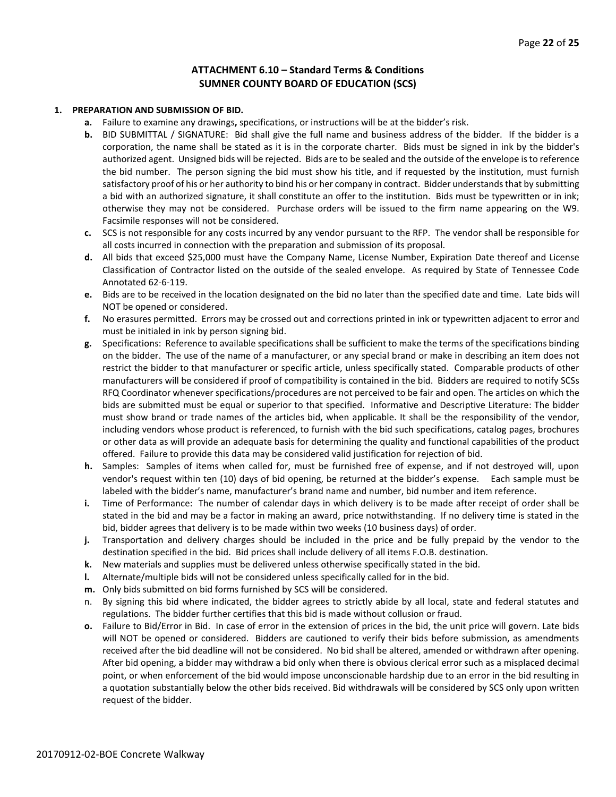#### **ATTACHMENT 6.10 – Standard Terms & Conditions SUMNER COUNTY BOARD OF EDUCATION (SCS)**

#### **1. PREPARATION AND SUBMISSION OF BID.**

- **a.** Failure to examine any drawings**,** specifications, or instructions will be at the bidder's risk.
- **b.** BID SUBMITTAL / SIGNATURE: Bid shall give the full name and business address of the bidder. If the bidder is a corporation, the name shall be stated as it is in the corporate charter. Bids must be signed in ink by the bidder's authorized agent. Unsigned bids will be rejected. Bids are to be sealed and the outside of the envelope is to reference the bid number. The person signing the bid must show his title, and if requested by the institution, must furnish satisfactory proof of his or her authority to bind his or her company in contract. Bidder understands that by submitting a bid with an authorized signature, it shall constitute an offer to the institution. Bids must be typewritten or in ink; otherwise they may not be considered. Purchase orders will be issued to the firm name appearing on the W9. Facsimile responses will not be considered.
- **c.** SCS is not responsible for any costs incurred by any vendor pursuant to the RFP. The vendor shall be responsible for all costs incurred in connection with the preparation and submission of its proposal.
- **d.** All bids that exceed \$25,000 must have the Company Name, License Number, Expiration Date thereof and License Classification of Contractor listed on the outside of the sealed envelope. As required by State of Tennessee Code Annotated 62-6-119.
- **e.** Bids are to be received in the location designated on the bid no later than the specified date and time. Late bids will NOT be opened or considered.
- **f.** No erasures permitted. Errors may be crossed out and corrections printed in ink or typewritten adjacent to error and must be initialed in ink by person signing bid.
- **g.** Specifications: Reference to available specifications shall be sufficient to make the terms of the specifications binding on the bidder. The use of the name of a manufacturer, or any special brand or make in describing an item does not restrict the bidder to that manufacturer or specific article, unless specifically stated. Comparable products of other manufacturers will be considered if proof of compatibility is contained in the bid. Bidders are required to notify SCSs RFQ Coordinator whenever specifications/procedures are not perceived to be fair and open. The articles on which the bids are submitted must be equal or superior to that specified. Informative and Descriptive Literature: The bidder must show brand or trade names of the articles bid, when applicable. It shall be the responsibility of the vendor, including vendors whose product is referenced, to furnish with the bid such specifications, catalog pages, brochures or other data as will provide an adequate basis for determining the quality and functional capabilities of the product offered. Failure to provide this data may be considered valid justification for rejection of bid.
- **h.** Samples: Samples of items when called for, must be furnished free of expense, and if not destroyed will, upon vendor's request within ten (10) days of bid opening, be returned at the bidder's expense. Each sample must be labeled with the bidder's name, manufacturer's brand name and number, bid number and item reference.
- **i.** Time of Performance: The number of calendar days in which delivery is to be made after receipt of order shall be stated in the bid and may be a factor in making an award, price notwithstanding. If no delivery time is stated in the bid, bidder agrees that delivery is to be made within two weeks (10 business days) of order.
- **j.** Transportation and delivery charges should be included in the price and be fully prepaid by the vendor to the destination specified in the bid. Bid prices shall include delivery of all items F.O.B. destination.
- **k.** New materials and supplies must be delivered unless otherwise specifically stated in the bid.
- **l.** Alternate/multiple bids will not be considered unless specifically called for in the bid.
- **m.** Only bids submitted on bid forms furnished by SCS will be considered.
- n. By signing this bid where indicated, the bidder agrees to strictly abide by all local, state and federal statutes and regulations. The bidder further certifies that this bid is made without collusion or fraud.
- **o.** Failure to Bid/Error in Bid. In case of error in the extension of prices in the bid, the unit price will govern. Late bids will NOT be opened or considered. Bidders are cautioned to verify their bids before submission, as amendments received after the bid deadline will not be considered. No bid shall be altered, amended or withdrawn after opening. After bid opening, a bidder may withdraw a bid only when there is obvious clerical error such as a misplaced decimal point, or when enforcement of the bid would impose unconscionable hardship due to an error in the bid resulting in a quotation substantially below the other bids received. Bid withdrawals will be considered by SCS only upon written request of the bidder.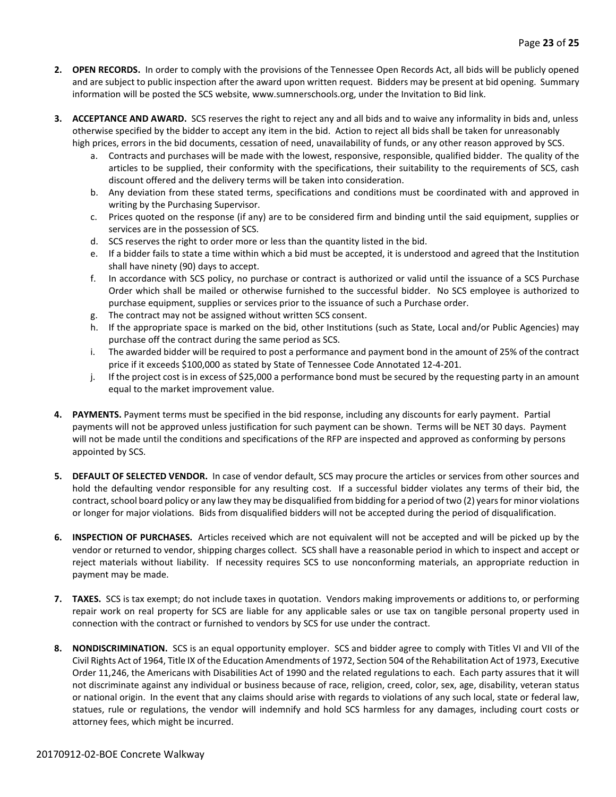- **2. OPEN RECORDS.** In order to comply with the provisions of the Tennessee Open Records Act, all bids will be publicly opened and are subject to public inspection after the award upon written request. Bidders may be present at bid opening. Summary information will be posted the SCS website, www.sumnerschools.org, under the Invitation to Bid link.
- **3. ACCEPTANCE AND AWARD.** SCS reserves the right to reject any and all bids and to waive any informality in bids and, unless otherwise specified by the bidder to accept any item in the bid. Action to reject all bids shall be taken for unreasonably high prices, errors in the bid documents, cessation of need, unavailability of funds, or any other reason approved by SCS.
	- a. Contracts and purchases will be made with the lowest, responsive, responsible, qualified bidder. The quality of the articles to be supplied, their conformity with the specifications, their suitability to the requirements of SCS, cash discount offered and the delivery terms will be taken into consideration.
	- b. Any deviation from these stated terms, specifications and conditions must be coordinated with and approved in writing by the Purchasing Supervisor.
	- c. Prices quoted on the response (if any) are to be considered firm and binding until the said equipment, supplies or services are in the possession of SCS.
	- d. SCS reserves the right to order more or less than the quantity listed in the bid.
	- e. If a bidder fails to state a time within which a bid must be accepted, it is understood and agreed that the Institution shall have ninety (90) days to accept.
	- f. In accordance with SCS policy, no purchase or contract is authorized or valid until the issuance of a SCS Purchase Order which shall be mailed or otherwise furnished to the successful bidder. No SCS employee is authorized to purchase equipment, supplies or services prior to the issuance of such a Purchase order.
	- g. The contract may not be assigned without written SCS consent.
	- h. If the appropriate space is marked on the bid, other Institutions (such as State, Local and/or Public Agencies) may purchase off the contract during the same period as SCS.
	- i. The awarded bidder will be required to post a performance and payment bond in the amount of 25% of the contract price if it exceeds \$100,000 as stated by State of Tennessee Code Annotated 12-4-201.
	- j. If the project cost is in excess of \$25,000 a performance bond must be secured by the requesting party in an amount equal to the market improvement value.
- **4. PAYMENTS.** Payment terms must be specified in the bid response, including any discounts for early payment. Partial payments will not be approved unless justification for such payment can be shown. Terms will be NET 30 days. Payment will not be made until the conditions and specifications of the RFP are inspected and approved as conforming by persons appointed by SCS.
- **5. DEFAULT OF SELECTED VENDOR.** In case of vendor default, SCS may procure the articles or services from other sources and hold the defaulting vendor responsible for any resulting cost. If a successful bidder violates any terms of their bid, the contract, school board policy or any law they may be disqualified from bidding for a period of two (2) years for minor violations or longer for major violations. Bids from disqualified bidders will not be accepted during the period of disqualification.
- **6. INSPECTION OF PURCHASES.** Articles received which are not equivalent will not be accepted and will be picked up by the vendor or returned to vendor, shipping charges collect. SCS shall have a reasonable period in which to inspect and accept or reject materials without liability. If necessity requires SCS to use nonconforming materials, an appropriate reduction in payment may be made.
- **7. TAXES.** SCS is tax exempt; do not include taxes in quotation. Vendors making improvements or additions to, or performing repair work on real property for SCS are liable for any applicable sales or use tax on tangible personal property used in connection with the contract or furnished to vendors by SCS for use under the contract.
- **8. NONDISCRIMINATION.** SCS is an equal opportunity employer. SCS and bidder agree to comply with Titles VI and VII of the Civil Rights Act of 1964, Title IX of the Education Amendments of 1972, Section 504 of the Rehabilitation Act of 1973, Executive Order 11,246, the Americans with Disabilities Act of 1990 and the related regulations to each. Each party assures that it will not discriminate against any individual or business because of race, religion, creed, color, sex, age, disability, veteran status or national origin. In the event that any claims should arise with regards to violations of any such local, state or federal law, statues, rule or regulations, the vendor will indemnify and hold SCS harmless for any damages, including court costs or attorney fees, which might be incurred.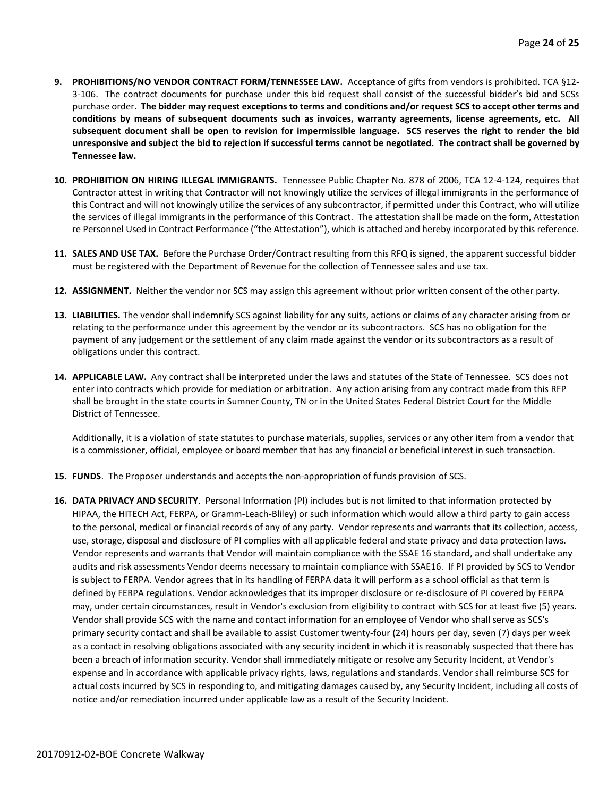- **9. PROHIBITIONS/NO VENDOR CONTRACT FORM/TENNESSEE LAW.** Acceptance of gifts from vendors is prohibited. TCA §12- 3-106. The contract documents for purchase under this bid request shall consist of the successful bidder's bid and SCSs purchase order. **The bidder may request exceptions to terms and conditions and/or request SCS to accept other terms and conditions by means of subsequent documents such as invoices, warranty agreements, license agreements, etc. All subsequent document shall be open to revision for impermissible language. SCS reserves the right to render the bid unresponsive and subject the bid to rejection if successful terms cannot be negotiated. The contract shall be governed by Tennessee law.**
- **10. PROHIBITION ON HIRING ILLEGAL IMMIGRANTS.** Tennessee Public Chapter No. 878 of 2006, TCA 12-4-124, requires that Contractor attest in writing that Contractor will not knowingly utilize the services of illegal immigrants in the performance of this Contract and will not knowingly utilize the services of any subcontractor, if permitted under this Contract, who will utilize the services of illegal immigrants in the performance of this Contract. The attestation shall be made on the form, Attestation re Personnel Used in Contract Performance ("the Attestation"), which is attached and hereby incorporated by this reference.
- **11. SALES AND USE TAX.** Before the Purchase Order/Contract resulting from this RFQ is signed, the apparent successful bidder must be registered with the Department of Revenue for the collection of Tennessee sales and use tax.
- **12. ASSIGNMENT.** Neither the vendor nor SCS may assign this agreement without prior written consent of the other party.
- **13. LIABILITIES.** The vendor shall indemnify SCS against liability for any suits, actions or claims of any character arising from or relating to the performance under this agreement by the vendor or its subcontractors. SCS has no obligation for the payment of any judgement or the settlement of any claim made against the vendor or its subcontractors as a result of obligations under this contract.
- **14. APPLICABLE LAW.** Any contract shall be interpreted under the laws and statutes of the State of Tennessee. SCS does not enter into contracts which provide for mediation or arbitration. Any action arising from any contract made from this RFP shall be brought in the state courts in Sumner County, TN or in the United States Federal District Court for the Middle District of Tennessee.

Additionally, it is a violation of state statutes to purchase materials, supplies, services or any other item from a vendor that is a commissioner, official, employee or board member that has any financial or beneficial interest in such transaction.

- **15. FUNDS**. The Proposer understands and accepts the non-appropriation of funds provision of SCS.
- **16. DATA PRIVACY AND SECURITY**. Personal Information (PI) includes but is not limited to that information protected by HIPAA, the HITECH Act, FERPA, or Gramm-Leach-Bliley) or such information which would allow a third party to gain access to the personal, medical or financial records of any of any party. Vendor represents and warrants that its collection, access, use, storage, disposal and disclosure of PI complies with all applicable federal and state privacy and data protection laws. Vendor represents and warrants that Vendor will maintain compliance with the SSAE 16 standard, and shall undertake any audits and risk assessments Vendor deems necessary to maintain compliance with SSAE16. If PI provided by SCS to Vendor is subject to FERPA. Vendor agrees that in its handling of FERPA data it will perform as a school official as that term is defined by FERPA regulations. Vendor acknowledges that its improper disclosure or re-disclosure of PI covered by FERPA may, under certain circumstances, result in Vendor's exclusion from eligibility to contract with SCS for at least five (5) years. Vendor shall provide SCS with the name and contact information for an employee of Vendor who shall serve as SCS's primary security contact and shall be available to assist Customer twenty-four (24) hours per day, seven (7) days per week as a contact in resolving obligations associated with any security incident in which it is reasonably suspected that there has been a breach of information security. Vendor shall immediately mitigate or resolve any Security Incident, at Vendor's expense and in accordance with applicable privacy rights, laws, regulations and standards. Vendor shall reimburse SCS for actual costs incurred by SCS in responding to, and mitigating damages caused by, any Security Incident, including all costs of notice and/or remediation incurred under applicable law as a result of the Security Incident.